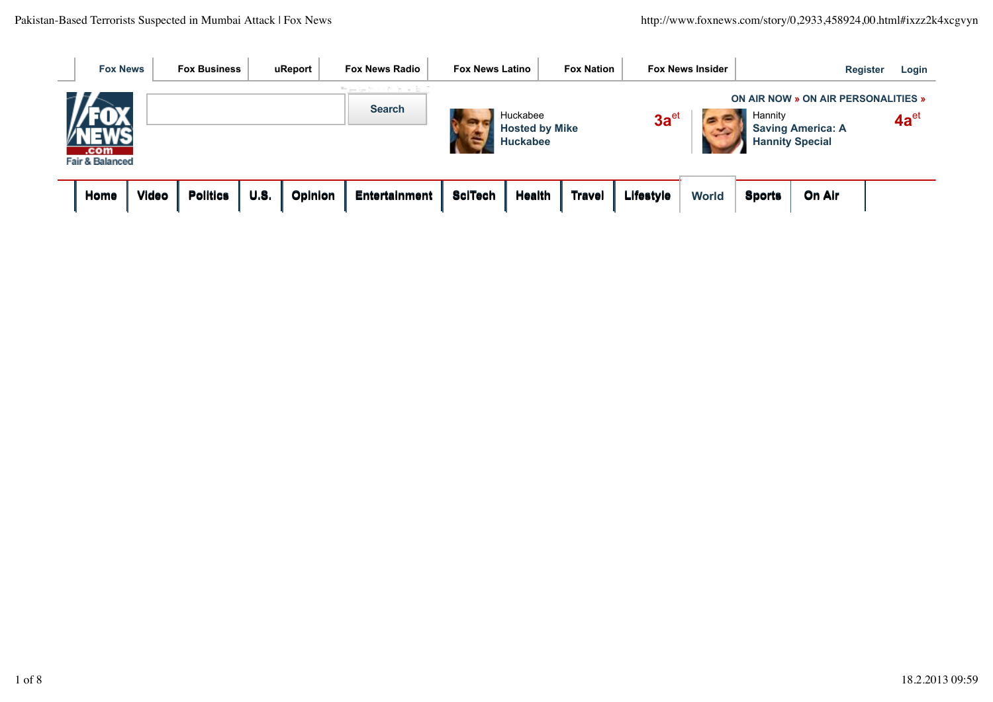| <b>Fox News</b><br>___             |              | <b>Fox Business</b> |      | uReport | <b>Fox News Radio</b><br><b>Fox News Latino</b> |                |                                   | <b>Fox Nation</b> |           | <b>Fox News Insider</b> | <b>Register</b> |                                                                 |  | Login     |
|------------------------------------|--------------|---------------------|------|---------|-------------------------------------------------|----------------|-----------------------------------|-------------------|-----------|-------------------------|-----------------|-----------------------------------------------------------------|--|-----------|
|                                    |              |                     |      |         | 한 동생은 시간을 받을<br><b>Search</b>                   |                | Huckabee<br><b>Hosted by Mike</b> |                   | $3a^{et}$ |                         | Hannity         | ON AIR NOW » ON AIR PERSONALITIES »<br><b>Saving America: A</b> |  | $4a^{et}$ |
| .com<br><b>Fair &amp; Balanced</b> |              |                     |      |         |                                                 |                | <b>Huckabee</b>                   |                   |           |                         |                 | <b>Hannity Special</b>                                          |  |           |
| Home                               | <b>Video</b> | <b>Politics</b>     | U.S. | Opinion | <b>Entertainment</b>                            | <b>SciTech</b> | <b>Health</b>                     | <b>Travel</b>     | Lifestyle | <b>World</b>            | <b>Sports</b>   | On Air                                                          |  |           |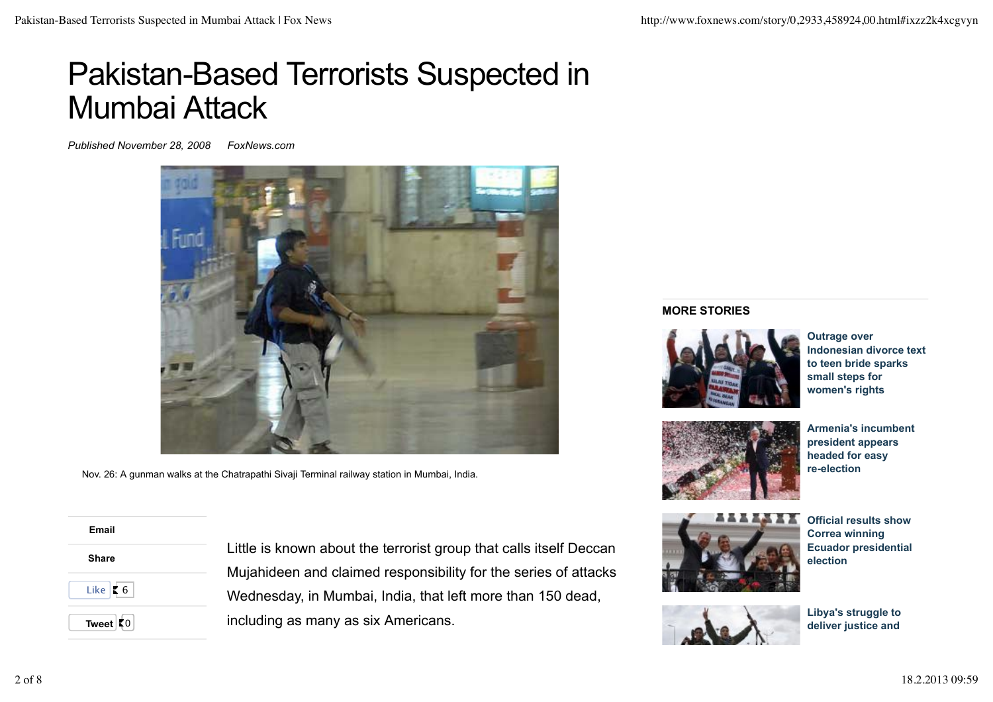# Pakistan-Based Terrorists Suspected in Mumbai Attack

*Published November 28, 2008 FoxNews.com*



Nov. 26: A gunman walks at the Chatrapathi Sivaji Terminal railway station in Mumbai, India.

 **Email Share Tweet**  $|0|$ Like  $\vert$  6

Little is known about the terrorist group that calls itself Deccan Mujahideen and claimed responsibility for the series of attacks Wednesday, in Mumbai, India, that left more than 150 dead, including as many as six Americans.

#### **MORE STORIES**



**Outrage over Indonesian divorce text to teen bride sparks small steps for women's rights**



**Armenia's incumbent president appears headed for easy re-election**



**Official results show Correa winning Ecuador presidential election**



**Libya's struggle to deliver justice and**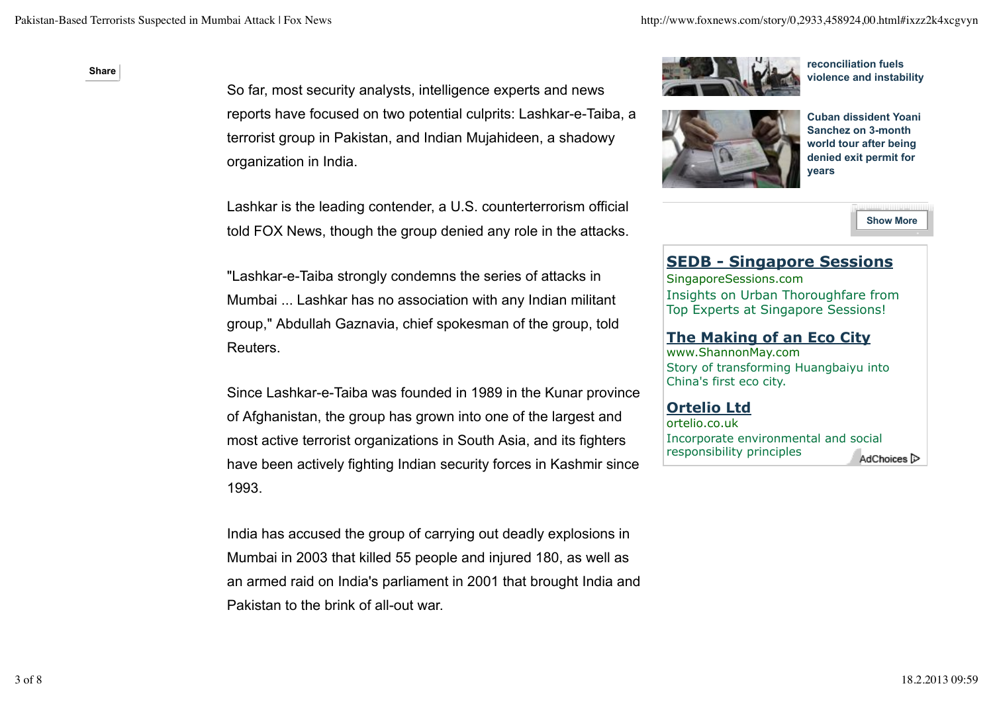#### **Share Share**

So far, most security analysts, intelligence experts and news reports have focused on two potential culprits: Lashkar-e-Taiba, a terrorist group in Pakistan, and Indian Mujahideen, a shadowy organization in India.

Lashkar is the leading contender, a U.S. counterterrorism official told FOX News, though the group denied any role in the attacks.

"Lashkar-e-Taiba strongly condemns the series of attacks in Mumbai ... Lashkar has no association with any Indian militant group," Abdullah Gaznavia, chief spokesman of the group, told Reuters.

Since Lashkar-e-Taiba was founded in 1989 in the Kunar province of Afghanistan, the group has grown into one of the largest and most active terrorist organizations in South Asia, and its fighters have been actively fighting Indian security forces in Kashmir since 1993.

India has accused the group of carrying out deadly explosions in Mumbai in 2003 that killed 55 people and injured 180, as well as an armed raid on India's parliament in 2001 that brought India and Pakistan to the brink of all-out war.



**reconciliation fuels violence and instability**



**Cuban dissident Yoani Sanchez on 3-month world tour after being denied exit permit for years**

**Show More**

# **SEDB - Singapore Sessions**

SingaporeSessions.com Insights on Urban Thoroughfare from Top Experts at Singapore Sessions!

## **The Making of an Eco City**

www.ShannonMay.com Story of transforming Huangbaiyu into China's first eco city.

## **Ortelio Ltd**

ortelio.co.uk Incorporate environmental and social responsibility principles AdChoices<sup>[></sup>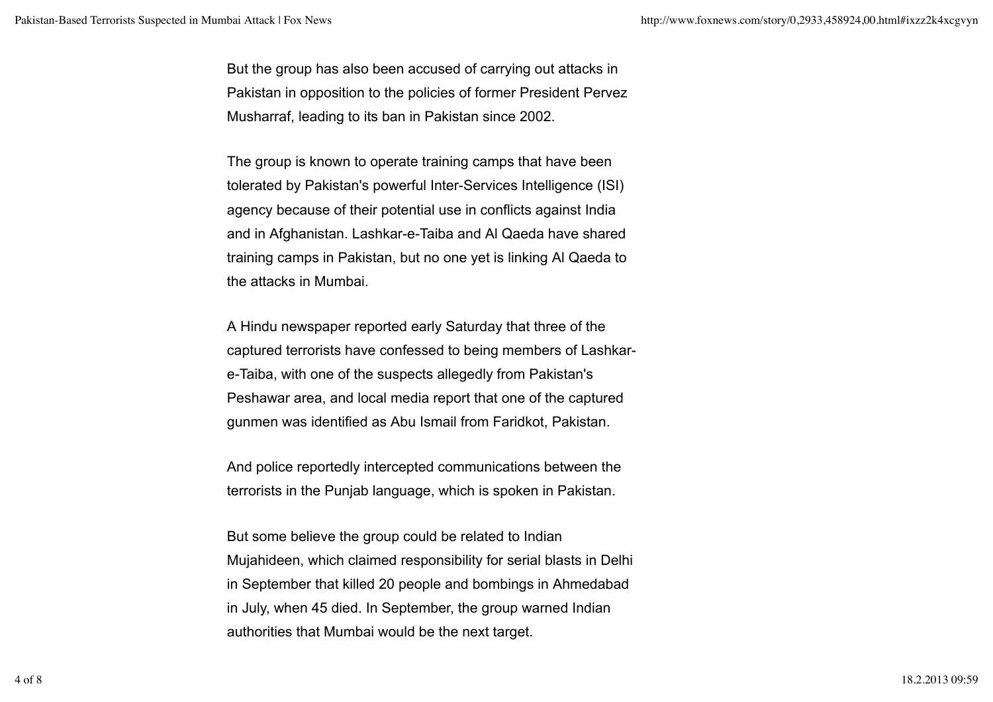But the group has also been accused of carrying out attacks in Pakistan in opposition to the policies of former President Pervez Musharraf, leading to its ban in Pakistan since 2002.

The group is known to operate training camps that have been tolerated by Pakistan's powerful Inter-Services Intelligence (ISI) agency because of their potential use in conflicts against India and in Afghanistan. Lashkar-e-Taiba and Al Qaeda have shared training camps in Pakistan, but no one yet is linking Al Qaeda to the attacks in Mumbai.

A Hindu newspaper reported early Saturday that three of the captured terrorists have confessed to being members of Lashkare-Taiba, with one of the suspects allegedly from Pakistan's Peshawar area, and local media report that one of the captured gunmen was identified as Abu Ismail from Faridkot, Pakistan.

And police reportedly intercepted communications between the terrorists in the Punjab language, which is spoken in Pakistan.

But some believe the group could be related to Indian Mujahideen, which claimed responsibility for serial blasts in Delhi in September that killed 20 people and bombings in Ahmedabad in July, when 45 died. In September, the group warned Indian authorities that Mumbai would be the next target.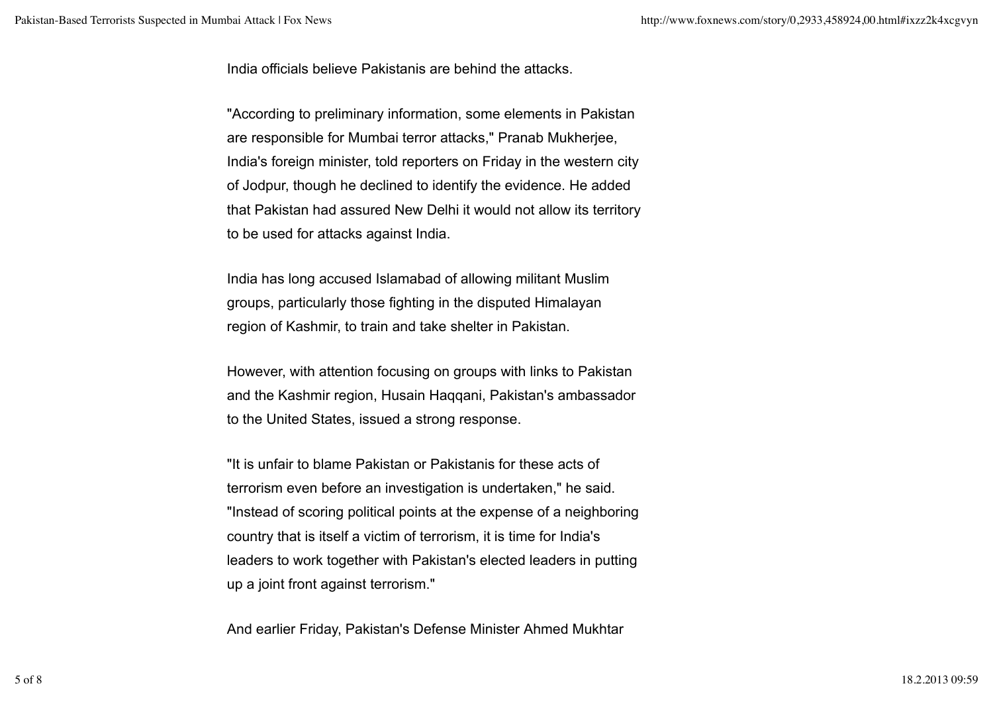India officials believe Pakistanis are behind the attacks.

"According to preliminary information, some elements in Pakistan are responsible for Mumbai terror attacks," Pranab Mukherjee, India's foreign minister, told reporters on Friday in the western city of Jodpur, though he declined to identify the evidence. He added that Pakistan had assured New Delhi it would not allow its territory to be used for attacks against India.

India has long accused Islamabad of allowing militant Muslim groups, particularly those fighting in the disputed Himalayan region of Kashmir, to train and take shelter in Pakistan.

However, with attention focusing on groups with links to Pakistan and the Kashmir region, Husain Haqqani, Pakistan's ambassador to the United States, issued a strong response.

"It is unfair to blame Pakistan or Pakistanis for these acts of terrorism even before an investigation is undertaken," he said. "Instead of scoring political points at the expense of a neighboring country that is itself a victim of terrorism, it is time for India's leaders to work together with Pakistan's elected leaders in putting up a joint front against terrorism."

And earlier Friday, Pakistan's Defense Minister Ahmed Mukhtar